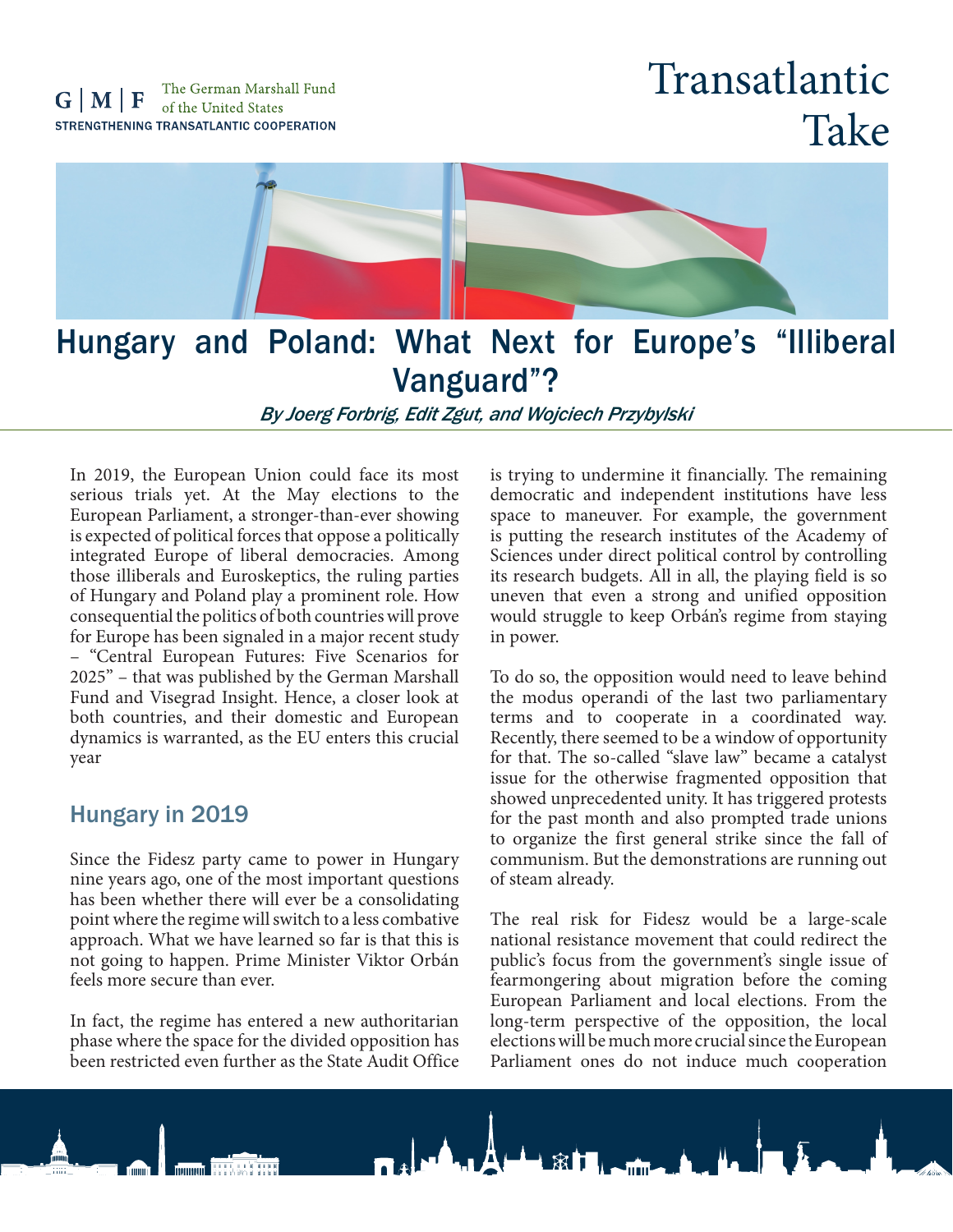## Transatlantic Take



### Hungary and Poland: What Next for Europe's "Illiberal Vanguard"?

*By Joerg Forbrig, Edit Zgut, and Wojciech Przybylski*

In 2019, the European Union could face its most serious trials yet. At the May elections to the European Parliament, a stronger-than-ever showing is expected of political forces that oppose a politically integrated Europe of liberal democracies. Among those illiberals and Euroskeptics, the ruling parties of Hungary and Poland play a prominent role. How consequential the politics of both countries will prove for Europe has been signaled in a major recent study – "Central European Futures: Five Scenarios for 2025" – that was published by the German Marshall Fund and Visegrad Insight. Hence, a closer look at both countries, and their domestic and European dynamics is warranted, as the EU enters this crucial year

### Hungary in 2019

Since the Fidesz party came to power in Hungary nine years ago, one of the most important questions has been whether there will ever be a consolidating point where the regime will switch to a less combative approach. What we have learned so far is that this is not going to happen. Prime Minister Viktor Orbán feels more secure than ever.

In fact, the regime has entered a new authoritarian phase where the space for the divided opposition has been restricted even further as the State Audit Office

is trying to undermine it financially. The remaining democratic and independent institutions have less space to maneuver. For example, the government is putting the research institutes of the Academy of Sciences under direct political control by controlling its research budgets. All in all, the playing field is so uneven that even a strong and unified opposition would struggle to keep Orbán's regime from staying in power.

To do so, the opposition would need to leave behind the modus operandi of the last two parliamentary terms and to cooperate in a coordinated way. Recently, there seemed to be a window of opportunity for that. The so-called "slave law" became a catalyst issue for the otherwise fragmented opposition that showed unprecedented unity. It has triggered protests for the past month and also prompted trade unions to organize the first general strike since the fall of communism. But the demonstrations are running out of steam already.

The real risk for Fidesz would be a large-scale national resistance movement that could redirect the public's focus from the government's single issue of fearmongering about migration before the coming European Parliament and local elections. From the long-term perspective of the opposition, the local elections will be much more crucial since the European Parliament ones do not induce much cooperation

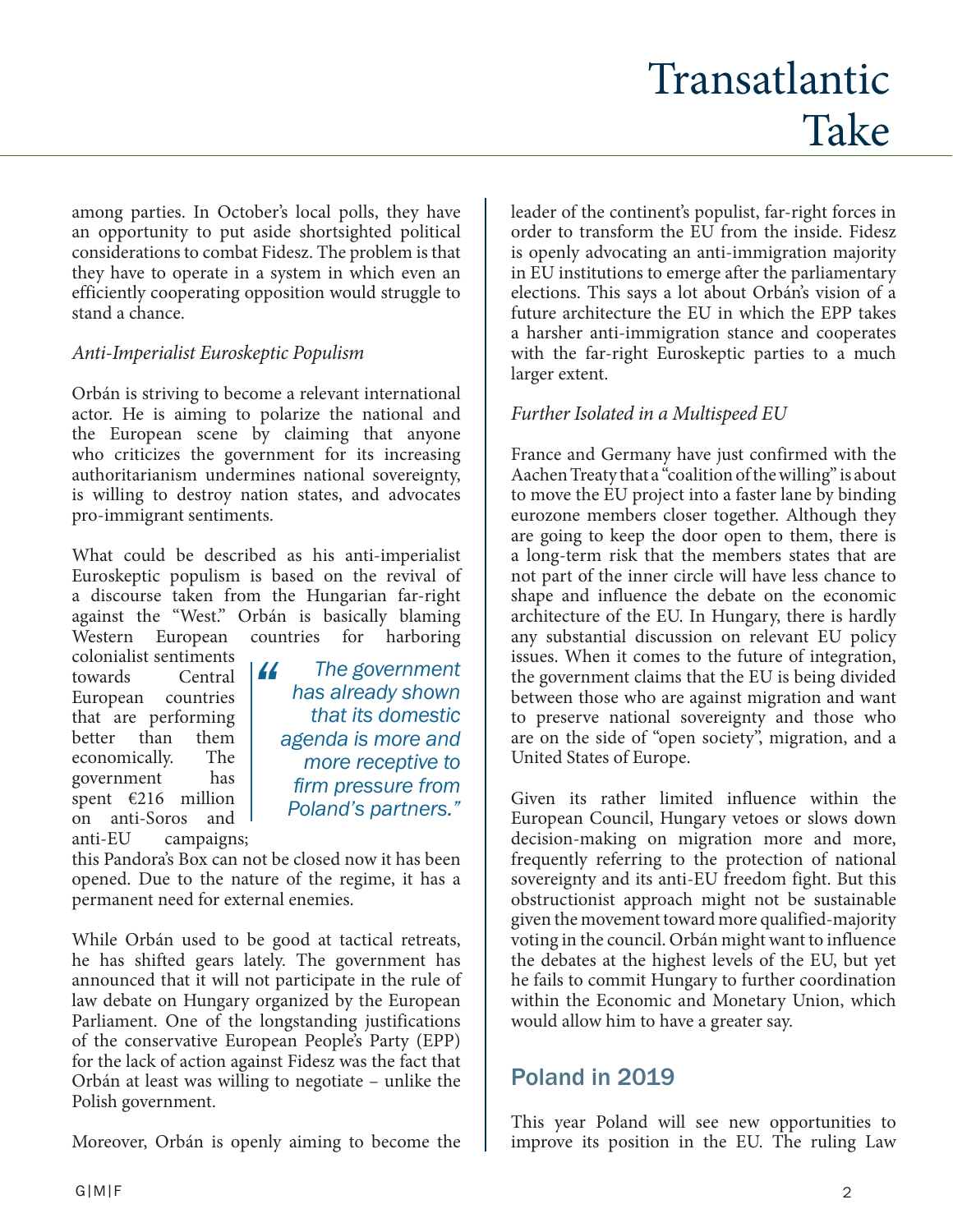among parties. In October's local polls, they have an opportunity to put aside shortsighted political considerations to combat Fidesz. The problem is that they have to operate in a system in which even an efficiently cooperating opposition would struggle to stand a chance.

### *Anti-Imperialist Euroskeptic Populism*

Orbán is striving to become a relevant international actor. He is aiming to polarize the national and the European scene by claiming that anyone who criticizes the government for its increasing authoritarianism undermines national sovereignty, is willing to destroy nation states, and advocates pro-immigrant sentiments.

What could be described as his anti-imperialist Euroskeptic populism is based on the revival of a discourse taken from the Hungarian far-right against the "West." Orbán is basically blaming Western European countries for harboring

colonialist sentiments towards European countries that are performing better than them economically. The government has spent €216 million on anti-Soros and anti-EU campaigns;

*The government has already shown that its domestic agenda is more and more receptive to firm pressure from Poland's partners." "*

this Pandora's Box can not be closed now it has been opened. Due to the nature of the regime, it has a permanent need for external enemies.

While Orbán used to be good at tactical retreats, he has shifted gears lately. The government has announced that it will not participate in the rule of law debate on Hungary organized by the European Parliament. One of the longstanding justifications of the conservative European People's Party (EPP) for the lack of action against Fidesz was the fact that Orbán at least was willing to negotiate – unlike the Polish government.

Moreover, Orbán is openly aiming to become the

leader of the continent's populist, far-right forces in order to transform the EU from the inside. Fidesz is openly advocating an anti-immigration majority in EU institutions to emerge after the parliamentary elections. This says a lot about Orbán's vision of a future architecture the EU in which the EPP takes a harsher anti-immigration stance and cooperates with the far-right Euroskeptic parties to a much larger extent.

### *Further Isolated in a Multispeed EU*

France and Germany have just confirmed with the Aachen Treaty that a "coalition of the willing" is about to move the EU project into a faster lane by binding eurozone members closer together. Although they are going to keep the door open to them, there is a long-term risk that the members states that are not part of the inner circle will have less chance to shape and influence the debate on the economic architecture of the EU. In Hungary, there is hardly any substantial discussion on relevant EU policy issues. When it comes to the future of integration, the government claims that the EU is being divided between those who are against migration and want to preserve national sovereignty and those who are on the side of "open society", migration, and a United States of Europe.

Given its rather limited influence within the European Council, Hungary vetoes or slows down decision-making on migration more and more, frequently referring to the protection of national sovereignty and its anti-EU freedom fight. But this obstructionist approach might not be sustainable given the movement toward more qualified-majority voting in the council. Orbán might want to influence the debates at the highest levels of the EU, but yet he fails to commit Hungary to further coordination within the Economic and Monetary Union, which would allow him to have a greater say.

### Poland in 2019

This year Poland will see new opportunities to improve its position in the EU. The ruling Law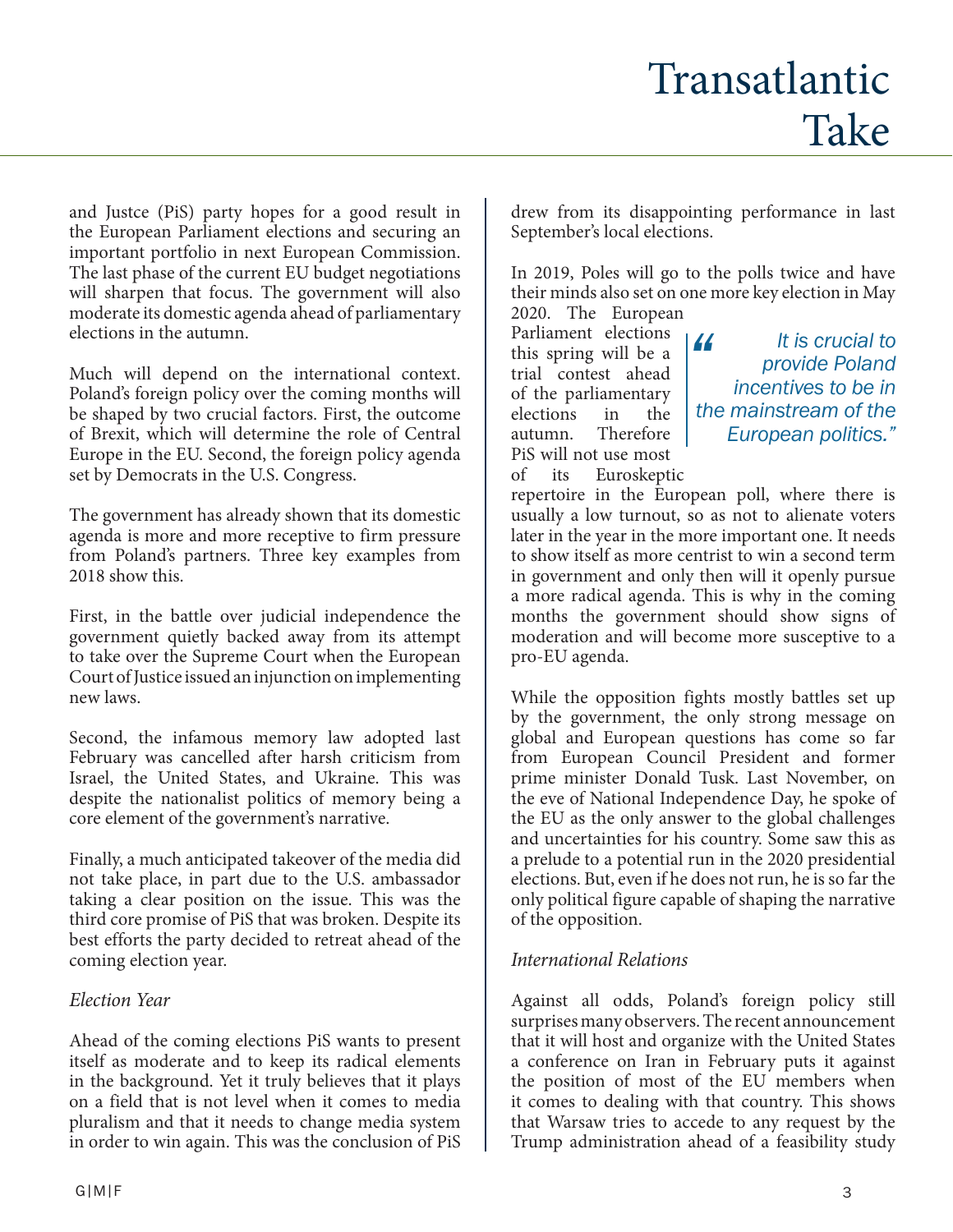# Transatlantic Take

and Justce (PiS) party hopes for a good result in the European Parliament elections and securing an important portfolio in next European Commission. The last phase of the current EU budget negotiations will sharpen that focus. The government will also moderate its domestic agenda ahead of parliamentary elections in the autumn.

Much will depend on the international context. Poland's foreign policy over the coming months will be shaped by two crucial factors. First, the outcome of Brexit, which will determine the role of Central Europe in the EU. Second, the foreign policy agenda set by Democrats in the U.S. Congress.

The government has already shown that its domestic agenda is more and more receptive to firm pressure from Poland's partners. Three key examples from 2018 show this.

First, in the battle over judicial independence the government quietly backed away from its attempt to take over the Supreme Court when the European Court of Justice issued an injunction on implementing new laws.

Second, the infamous memory law adopted last February was cancelled after harsh criticism from Israel, the United States, and Ukraine. This was despite the nationalist politics of memory being a core element of the government's narrative.

Finally, a much anticipated takeover of the media did not take place, in part due to the U.S. ambassador taking a clear position on the issue. This was the third core promise of PiS that was broken. Despite its best efforts the party decided to retreat ahead of the coming election year.

### *Election Year*

Ahead of the coming elections PiS wants to present itself as moderate and to keep its radical elements in the background. Yet it truly believes that it plays on a field that is not level when it comes to media pluralism and that it needs to change media system in order to win again. This was the conclusion of PiS drew from its disappointing performance in last September's local elections.

In 2019, Poles will go to the polls twice and have their minds also set on one more key election in May 2020. The European

Parliament elections this spring will be a trial contest ahead of the parliamentary elections in the autumn. Therefore PiS will not use most of its Euroskeptic

*It is crucial to provide Poland incentives to be in the mainstream of the European politics." "*

repertoire in the European poll, where there is usually a low turnout, so as not to alienate voters later in the year in the more important one. It needs to show itself as more centrist to win a second term in government and only then will it openly pursue a more radical agenda. This is why in the coming months the government should show signs of moderation and will become more susceptive to a pro-EU agenda.

While the opposition fights mostly battles set up by the government, the only strong message on global and European questions has come so far from European Council President and former prime minister Donald Tusk. Last November, on the eve of National Independence Day, he spoke of the EU as the only answer to the global challenges and uncertainties for his country. Some saw this as a prelude to a potential run in the 2020 presidential elections. But, even if he does not run, he is so far the only political figure capable of shaping the narrative of the opposition.

#### *International Relations*

Against all odds, Poland's foreign policy still surprises many observers. The recent announcement that it will host and organize with the United States a conference on Iran in February puts it against the position of most of the EU members when it comes to dealing with that country. This shows that Warsaw tries to accede to any request by the Trump administration ahead of a feasibility study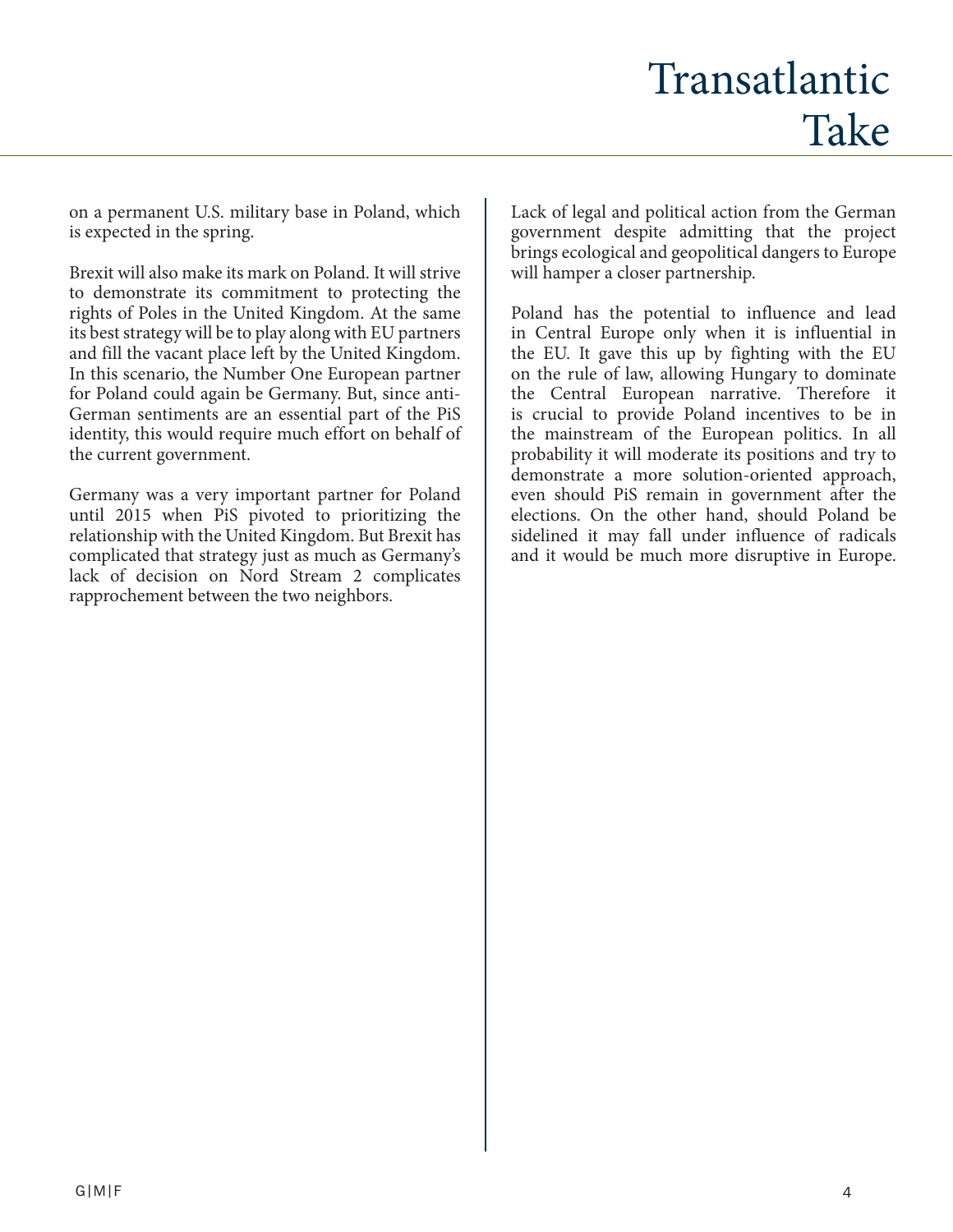on a permanent U.S. military base in Poland, which is expected in the spring.

Brexit will also make its mark on Poland. It will strive to demonstrate its commitment to protecting the rights of Poles in the United Kingdom. At the same its best strategy will be to play along with EU partners and fill the vacant place left by the United Kingdom. In this scenario, the Number One European partner for Poland could again be Germany. But, since anti-German sentiments are an essential part of the PiS identity, this would require much effort on behalf of the current government.

Germany was a very important partner for Poland until 2015 when PiS pivoted to prioritizing the relationship with the United Kingdom. But Brexit has complicated that strategy just as much as Germany's lack of decision on Nord Stream 2 complicates rapprochement between the two neighbors.

Lack of legal and political action from the German government despite admitting that the project brings ecological and geopolitical dangers to Europe will hamper a closer partnership.

Poland has the potential to influence and lead in Central Europe only when it is influential in the EU. It gave this up by fighting with the EU on the rule of law, allowing Hungary to dominate the Central European narrative. Therefore it is crucial to provide Poland incentives to be in the mainstream of the European politics. In all probability it will moderate its positions and try to demonstrate a more solution-oriented approach, even should PiS remain in government after the elections. On the other hand, should Poland be sidelined it may fall under influence of radicals and it would be much more disruptive in Europe.